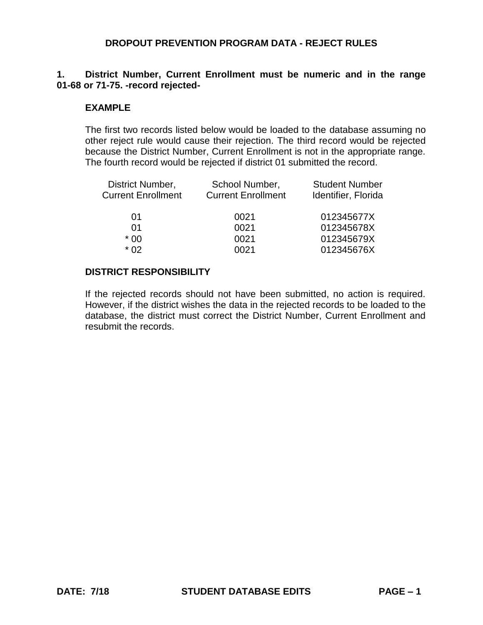## **1. District Number, Current Enrollment must be numeric and in the range 01-68 or 71-75. -record rejected-**

#### **EXAMPLE**

The first two records listed below would be loaded to the database assuming no other reject rule would cause their rejection. The third record would be rejected because the District Number, Current Enrollment is not in the appropriate range. The fourth record would be rejected if district 01 submitted the record.

| District Number,<br><b>Current Enrollment</b> | School Number,<br><b>Current Enrollment</b> | <b>Student Number</b><br>Identifier, Florida |
|-----------------------------------------------|---------------------------------------------|----------------------------------------------|
| 01                                            | 0021                                        | 012345677X                                   |
| 01                                            | 0021                                        | 012345678X                                   |
| $*00$                                         | 0021                                        | 012345679X                                   |
| * በ2                                          | 0021                                        | 012345676X                                   |
|                                               |                                             |                                              |

#### **DISTRICT RESPONSIBILITY**

If the rejected records should not have been submitted, no action is required. However, if the district wishes the data in the rejected records to be loaded to the database, the district must correct the District Number, Current Enrollment and resubmit the records.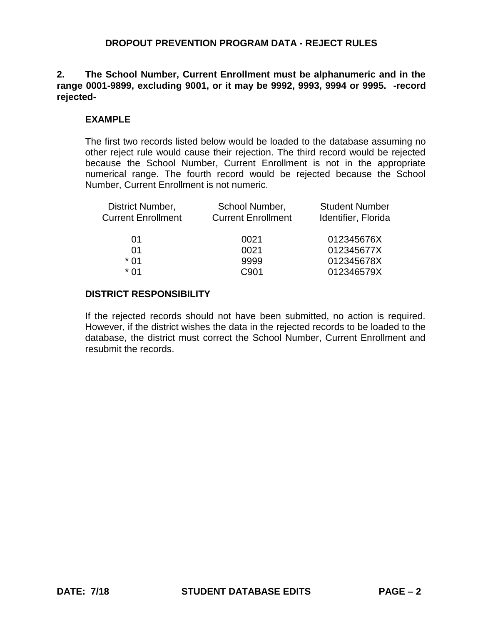**2. The School Number, Current Enrollment must be alphanumeric and in the range 0001-9899, excluding 9001, or it may be 9992, 9993, 9994 or 9995. -record rejected-**

#### **EXAMPLE**

The first two records listed below would be loaded to the database assuming no other reject rule would cause their rejection. The third record would be rejected because the School Number, Current Enrollment is not in the appropriate numerical range. The fourth record would be rejected because the School Number, Current Enrollment is not numeric.

| District Number,          | School Number,            | <b>Student Number</b> |
|---------------------------|---------------------------|-----------------------|
| <b>Current Enrollment</b> | <b>Current Enrollment</b> | Identifier, Florida   |
|                           |                           |                       |
| 01                        | 0021                      | 012345676X            |
| 01                        | 0021                      | 012345677X            |
| $*01$                     | 9999                      | 012345678X            |
| * በ1                      | C <sub>901</sub>          | 012346579X            |
|                           |                           |                       |

#### **DISTRICT RESPONSIBILITY**

If the rejected records should not have been submitted, no action is required. However, if the district wishes the data in the rejected records to be loaded to the database, the district must correct the School Number, Current Enrollment and resubmit the records.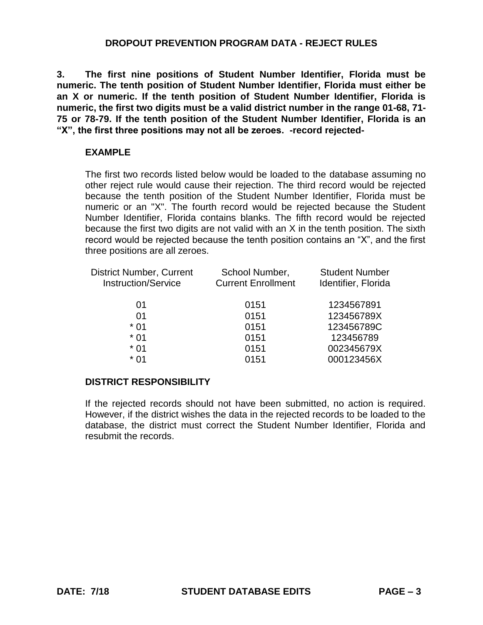**3. The first nine positions of Student Number Identifier, Florida must be numeric. The tenth position of Student Number Identifier, Florida must either be an X or numeric. If the tenth position of Student Number Identifier, Florida is numeric, the first two digits must be a valid district number in the range 01-68, 71- 75 or 78-79. If the tenth position of the Student Number Identifier, Florida is an "X", the first three positions may not all be zeroes. -record rejected-**

### **EXAMPLE**

The first two records listed below would be loaded to the database assuming no other reject rule would cause their rejection. The third record would be rejected because the tenth position of the Student Number Identifier, Florida must be numeric or an "X". The fourth record would be rejected because the Student Number Identifier, Florida contains blanks. The fifth record would be rejected because the first two digits are not valid with an X in the tenth position. The sixth record would be rejected because the tenth position contains an "X", and the first three positions are all zeroes.

| <b>District Number, Current</b> | School Number,            | <b>Student Number</b> |
|---------------------------------|---------------------------|-----------------------|
| <b>Instruction/Service</b>      | <b>Current Enrollment</b> | Identifier, Florida   |
| 01                              | 0151                      | 1234567891            |
| 01                              | 0151                      | 123456789X            |
| $*01$                           | 0151                      | 123456789C            |
| $*01$                           | 0151                      | 123456789             |
| * 01                            | 0151                      | 002345679X            |
| * 01                            | 0151                      | 000123456X            |

## **DISTRICT RESPONSIBILITY**

If the rejected records should not have been submitted, no action is required. However, if the district wishes the data in the rejected records to be loaded to the database, the district must correct the Student Number Identifier, Florida and resubmit the records.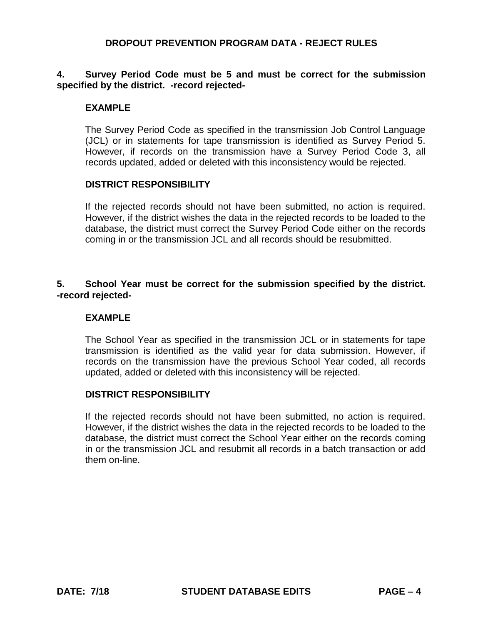### **4. Survey Period Code must be 5 and must be correct for the submission specified by the district. -record rejected-**

#### **EXAMPLE**

The Survey Period Code as specified in the transmission Job Control Language (JCL) or in statements for tape transmission is identified as Survey Period 5. However, if records on the transmission have a Survey Period Code 3, all records updated, added or deleted with this inconsistency would be rejected.

#### **DISTRICT RESPONSIBILITY**

If the rejected records should not have been submitted, no action is required. However, if the district wishes the data in the rejected records to be loaded to the database, the district must correct the Survey Period Code either on the records coming in or the transmission JCL and all records should be resubmitted.

#### **5. School Year must be correct for the submission specified by the district. -record rejected-**

#### **EXAMPLE**

The School Year as specified in the transmission JCL or in statements for tape transmission is identified as the valid year for data submission. However, if records on the transmission have the previous School Year coded, all records updated, added or deleted with this inconsistency will be rejected.

## **DISTRICT RESPONSIBILITY**

If the rejected records should not have been submitted, no action is required. However, if the district wishes the data in the rejected records to be loaded to the database, the district must correct the School Year either on the records coming in or the transmission JCL and resubmit all records in a batch transaction or add them on-line.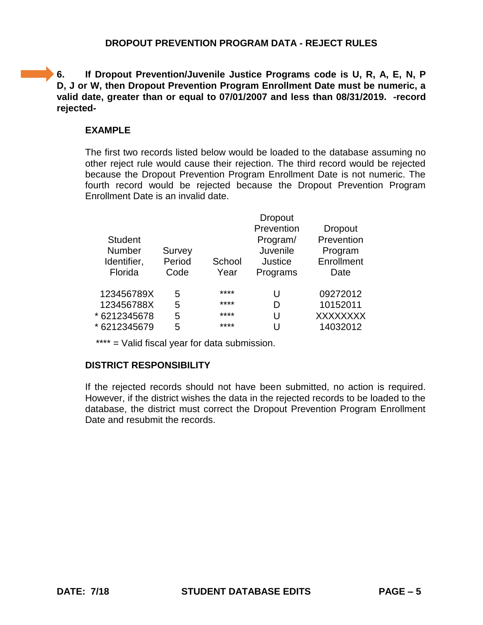**6.** If Dropout Prevention/Juvenile Justice Programs code is U, R, A, E, N, P **D, J or W, then Dropout Prevention Program Enrollment Date must be numeric, a valid date, greater than or equal to 07/01/2007 and less than 08/31/2019. -record rejected-**

# **EXAMPLE**

The first two records listed below would be loaded to the database assuming no other reject rule would cause their rejection. The third record would be rejected because the Dropout Prevention Program Enrollment Date is not numeric. The fourth record would be rejected because the Dropout Prevention Program Enrollment Date is an invalid date.

| <b>Student</b><br><b>Number</b><br>Identifier,<br>Florida | Survey<br>Period<br>Code | School<br>Year | <b>Dropout</b><br>Prevention<br>Program/<br>Juvenile<br><b>Justice</b><br>Programs | <b>Dropout</b><br>Prevention<br>Program<br>Enrollment<br>Date |
|-----------------------------------------------------------|--------------------------|----------------|------------------------------------------------------------------------------------|---------------------------------------------------------------|
| 123456789X                                                | 5                        | ****           | U                                                                                  | 09272012                                                      |
| 123456788X                                                | 5                        | ****           | D                                                                                  | 10152011                                                      |
| * 6212345678                                              | 5                        | ****           | U                                                                                  | <b>XXXXXXXX</b>                                               |
| * 6212345679                                              | 5                        | ****           | U                                                                                  | 14032012                                                      |
|                                                           |                          |                |                                                                                    |                                                               |

\*\*\*\* = Valid fiscal year for data submission.

# **DISTRICT RESPONSIBILITY**

If the rejected records should not have been submitted, no action is required. However, if the district wishes the data in the rejected records to be loaded to the database, the district must correct the Dropout Prevention Program Enrollment Date and resubmit the records.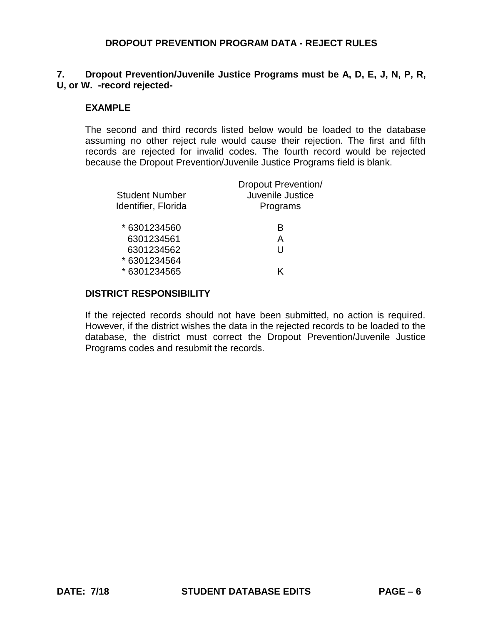# **7. Dropout Prevention/Juvenile Justice Programs must be A, D, E, J, N, P, R, U, or W. -record rejected-**

### **EXAMPLE**

The second and third records listed below would be loaded to the database assuming no other reject rule would cause their rejection. The first and fifth records are rejected for invalid codes. The fourth record would be rejected because the Dropout Prevention/Juvenile Justice Programs field is blank.

| <b>Student Number</b><br>Identifier, Florida | <b>Dropout Prevention/</b><br>Juvenile Justice<br>Programs |
|----------------------------------------------|------------------------------------------------------------|
| * 6301234560                                 | B                                                          |
| 6301234561                                   | А                                                          |
| 6301234562                                   | H                                                          |
| * 6301234564                                 |                                                            |
| * 6301234565                                 | ĸ                                                          |
|                                              |                                                            |

#### **DISTRICT RESPONSIBILITY**

If the rejected records should not have been submitted, no action is required. However, if the district wishes the data in the rejected records to be loaded to the database, the district must correct the Dropout Prevention/Juvenile Justice Programs codes and resubmit the records.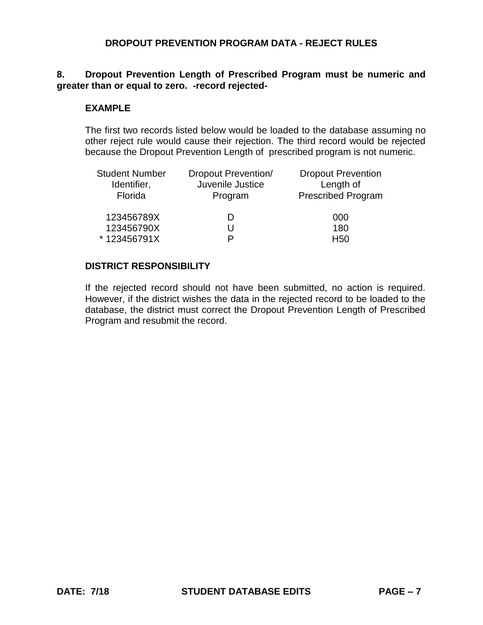## **8. Dropout Prevention Length of Prescribed Program must be numeric and greater than or equal to zero. -record rejected-**

#### **EXAMPLE**

The first two records listed below would be loaded to the database assuming no other reject rule would cause their rejection. The third record would be rejected because the Dropout Prevention Length of prescribed program is not numeric.

| <b>Student Number</b><br>Identifier,<br>Florida | <b>Dropout Prevention/</b><br>Juvenile Justice<br>Program | <b>Dropout Prevention</b><br>Length of<br><b>Prescribed Program</b> |
|-------------------------------------------------|-----------------------------------------------------------|---------------------------------------------------------------------|
| 123456789X                                      |                                                           | 000                                                                 |
| 123456790X                                      |                                                           | 180                                                                 |
| *123456791X                                     |                                                           | H <sub>50</sub>                                                     |

### **DISTRICT RESPONSIBILITY**

If the rejected record should not have been submitted, no action is required. However, if the district wishes the data in the rejected record to be loaded to the database, the district must correct the Dropout Prevention Length of Prescribed Program and resubmit the record.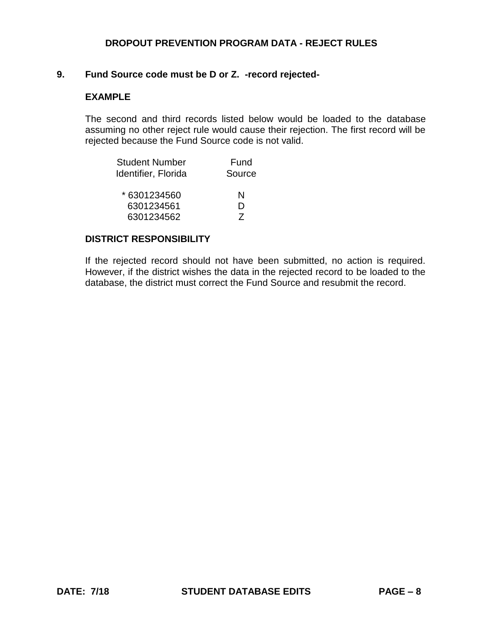# **9. Fund Source code must be D or Z. -record rejected-**

## **EXAMPLE**

The second and third records listed below would be loaded to the database assuming no other reject rule would cause their rejection. The first record will be rejected because the Fund Source code is not valid.

| <b>Student Number</b> | Fund           |
|-----------------------|----------------|
| Identifier, Florida   | Source         |
| * 6301234560          | N              |
| 6301234561            | D              |
| 6301234562            | $\overline{z}$ |

#### **DISTRICT RESPONSIBILITY**

If the rejected record should not have been submitted, no action is required. However, if the district wishes the data in the rejected record to be loaded to the database, the district must correct the Fund Source and resubmit the record.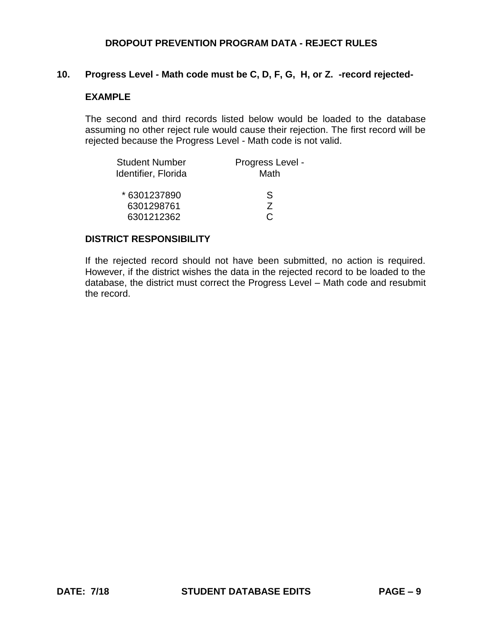# **10. Progress Level - Math code must be C, D, F, G, H, or Z. -record rejected-**

## **EXAMPLE**

The second and third records listed below would be loaded to the database assuming no other reject rule would cause their rejection. The first record will be rejected because the Progress Level - Math code is not valid.

| <b>Student Number</b> | Progress Level - |
|-----------------------|------------------|
| Identifier, Florida   | Math             |
| *6301237890           | S                |
| 6301298761            | 7                |
| 6301212362            |                  |

#### **DISTRICT RESPONSIBILITY**

If the rejected record should not have been submitted, no action is required. However, if the district wishes the data in the rejected record to be loaded to the database, the district must correct the Progress Level – Math code and resubmit the record.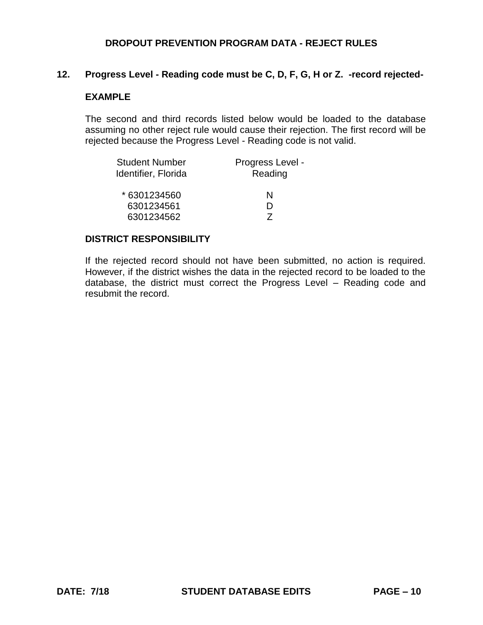### **12. Progress Level - Reading code must be C, D, F, G, H or Z. -record rejected-**

## **EXAMPLE**

The second and third records listed below would be loaded to the database assuming no other reject rule would cause their rejection. The first record will be rejected because the Progress Level - Reading code is not valid.

| <b>Student Number</b> | Progress Level - |
|-----------------------|------------------|
| Identifier, Florida   | Reading          |
| * 6301234560          | N                |
| 6301234561            |                  |
| 6301234562            |                  |

#### **DISTRICT RESPONSIBILITY**

If the rejected record should not have been submitted, no action is required. However, if the district wishes the data in the rejected record to be loaded to the database, the district must correct the Progress Level – Reading code and resubmit the record.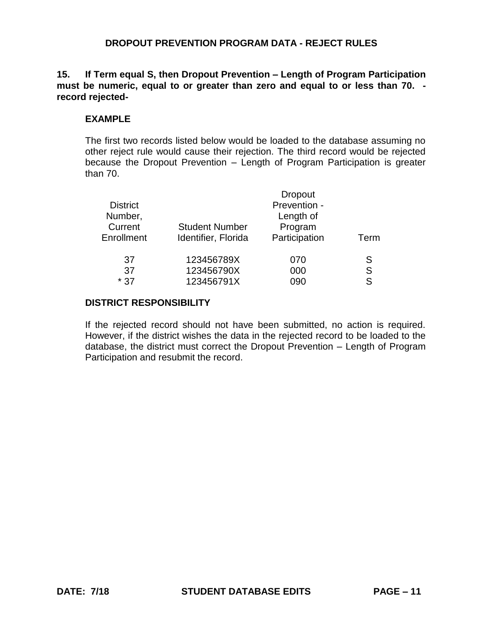**15. If Term equal S, then Dropout Prevention – Length of Program Participation must be numeric, equal to or greater than zero and equal to or less than 70. record rejected-**

### **EXAMPLE**

The first two records listed below would be loaded to the database assuming no other reject rule would cause their rejection. The third record would be rejected because the Dropout Prevention – Length of Program Participation is greater than 70.

|                     | <b>Dropout</b>        |                         |
|---------------------|-----------------------|-------------------------|
|                     | Length of             |                         |
|                     |                       |                         |
| Identifier, Florida | Participation         | Term                    |
| 123456789X          | 070                   | S                       |
| 123456790X          | 000                   | S                       |
| 123456791X          | 090                   | S                       |
|                     | <b>Student Number</b> | Prevention -<br>Program |

#### **DISTRICT RESPONSIBILITY**

If the rejected record should not have been submitted, no action is required. However, if the district wishes the data in the rejected record to be loaded to the database, the district must correct the Dropout Prevention – Length of Program Participation and resubmit the record.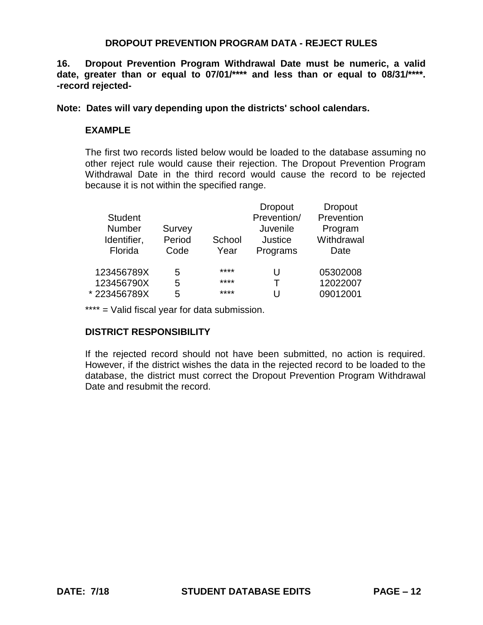**16. Dropout Prevention Program Withdrawal Date must be numeric, a valid date, greater than or equal to 07/01/\*\*\*\* and less than or equal to 08/31/\*\*\*\*. -record rejected-**

**Note: Dates will vary depending upon the districts' school calendars.**

## **EXAMPLE**

The first two records listed below would be loaded to the database assuming no other reject rule would cause their rejection. The Dropout Prevention Program Withdrawal Date in the third record would cause the record to be rejected because it is not within the specified range.

|                |        |        | <b>Dropout</b> | Dropout    |
|----------------|--------|--------|----------------|------------|
| <b>Student</b> |        |        | Prevention/    | Prevention |
| Number         | Survey |        | Juvenile       | Program    |
| Identifier,    | Period | School | Justice        | Withdrawal |
| Florida        | Code   | Year   | Programs       | Date       |
|                |        |        |                |            |
| 123456789X     | 5      | ****   | U              | 05302008   |
| 123456790X     | 5      | ****   | т              | 12022007   |
| *223456789X    | 5      | ****   |                | 09012001   |

\*\*\*\* = Valid fiscal year for data submission.

## **DISTRICT RESPONSIBILITY**

If the rejected record should not have been submitted, no action is required. However, if the district wishes the data in the rejected record to be loaded to the database, the district must correct the Dropout Prevention Program Withdrawal Date and resubmit the record.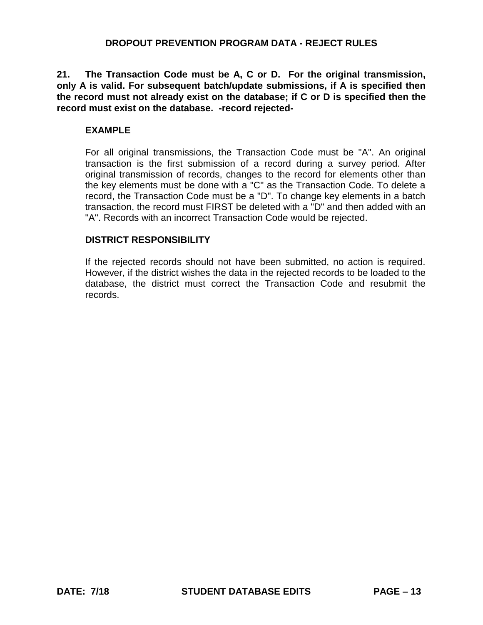**21. The Transaction Code must be A, C or D. For the original transmission, only A is valid. For subsequent batch/update submissions, if A is specified then the record must not already exist on the database; if C or D is specified then the record must exist on the database. -record rejected-**

# **EXAMPLE**

For all original transmissions, the Transaction Code must be "A". An original transaction is the first submission of a record during a survey period. After original transmission of records, changes to the record for elements other than the key elements must be done with a "C" as the Transaction Code. To delete a record, the Transaction Code must be a "D". To change key elements in a batch transaction, the record must FIRST be deleted with a "D" and then added with an "A". Records with an incorrect Transaction Code would be rejected.

## **DISTRICT RESPONSIBILITY**

If the rejected records should not have been submitted, no action is required. However, if the district wishes the data in the rejected records to be loaded to the database, the district must correct the Transaction Code and resubmit the records.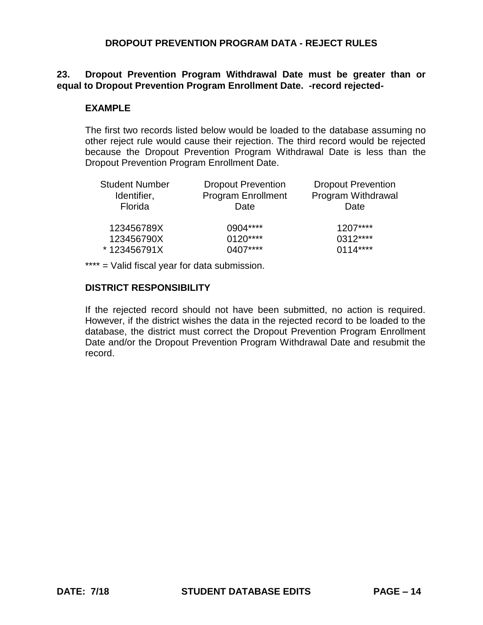### **23. Dropout Prevention Program Withdrawal Date must be greater than or equal to Dropout Prevention Program Enrollment Date. -record rejected-**

## **EXAMPLE**

The first two records listed below would be loaded to the database assuming no other reject rule would cause their rejection. The third record would be rejected because the Dropout Prevention Program Withdrawal Date is less than the Dropout Prevention Program Enrollment Date.

| <b>Student Number</b> | <b>Dropout Prevention</b> | <b>Dropout Prevention</b> |
|-----------------------|---------------------------|---------------------------|
| Identifier,           | <b>Program Enrollment</b> | Program Withdrawal        |
| Florida               | Date                      | Date                      |
| 123456789X            | 0904****                  | $1207***$                 |
| 123456790X            | $0120***$                 | 0312****                  |
| *123456791X           | 0407****                  | $0114***$                 |

\*\*\*\* = Valid fiscal year for data submission.

## **DISTRICT RESPONSIBILITY**

If the rejected record should not have been submitted, no action is required. However, if the district wishes the data in the rejected record to be loaded to the database, the district must correct the Dropout Prevention Program Enrollment Date and/or the Dropout Prevention Program Withdrawal Date and resubmit the record.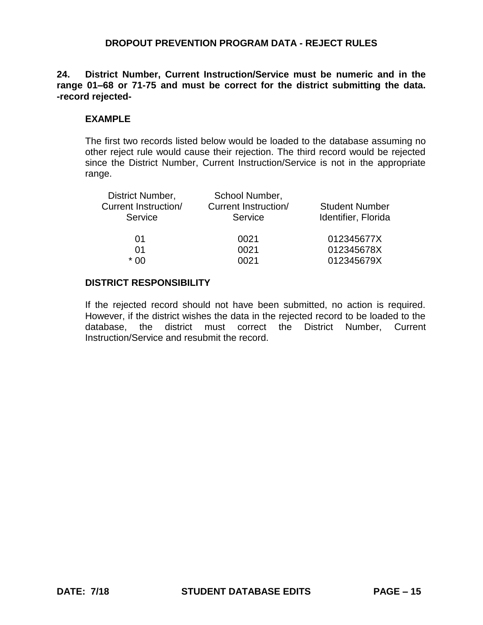**24. District Number, Current Instruction/Service must be numeric and in the range 01–68 or 71-75 and must be correct for the district submitting the data. -record rejected-**

#### **EXAMPLE**

The first two records listed below would be loaded to the database assuming no other reject rule would cause their rejection. The third record would be rejected since the District Number, Current Instruction/Service is not in the appropriate range.

| School Number,              |                       |
|-----------------------------|-----------------------|
| <b>Current Instruction/</b> | <b>Student Number</b> |
| Service                     | Identifier, Florida   |
| 0021                        | 012345677X            |
| 0021                        | 012345678X            |
| 0021                        | 012345679X            |
|                             |                       |

#### **DISTRICT RESPONSIBILITY**

If the rejected record should not have been submitted, no action is required. However, if the district wishes the data in the rejected record to be loaded to the database, the district must correct the District Number, Current Instruction/Service and resubmit the record.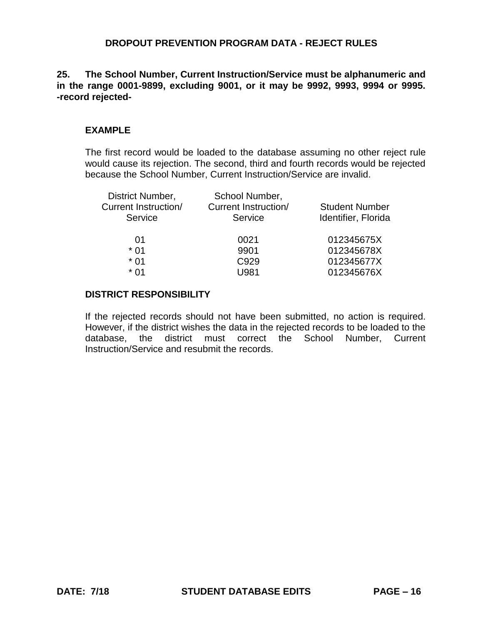**25. The School Number, Current Instruction/Service must be alphanumeric and in the range 0001-9899, excluding 9001, or it may be 9992, 9993, 9994 or 9995. -record rejected-**

# **EXAMPLE**

The first record would be loaded to the database assuming no other reject rule would cause its rejection. The second, third and fourth records would be rejected because the School Number, Current Instruction/Service are invalid.

| <b>Student Number</b> |
|-----------------------|
|                       |
| Identifier, Florida   |
| 012345675X            |
| 012345678X            |
| 012345677X            |
| 012345676X            |
|                       |

## **DISTRICT RESPONSIBILITY**

If the rejected records should not have been submitted, no action is required. However, if the district wishes the data in the rejected records to be loaded to the database, the district must correct the School Number, Current Instruction/Service and resubmit the records.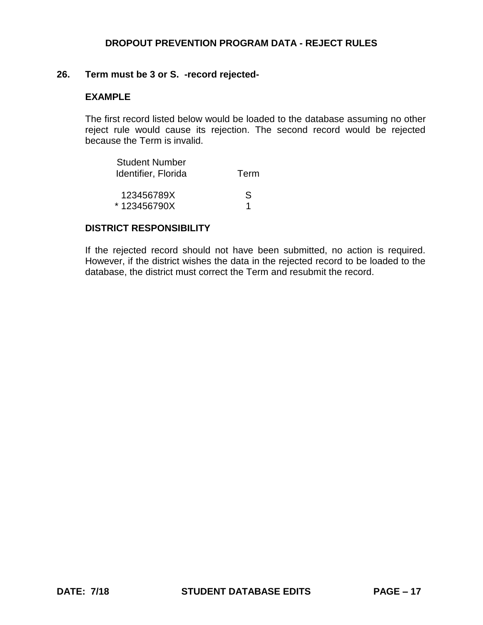#### **26. Term must be 3 or S. -record rejected-**

## **EXAMPLE**

The first record listed below would be loaded to the database assuming no other reject rule would cause its rejection. The second record would be rejected because the Term is invalid.

| Student Number<br>Identifier, Florida | Term |
|---------------------------------------|------|
| 123456789X                            | S.   |
| *123456790X                           |      |

#### **DISTRICT RESPONSIBILITY**

If the rejected record should not have been submitted, no action is required. However, if the district wishes the data in the rejected record to be loaded to the database, the district must correct the Term and resubmit the record.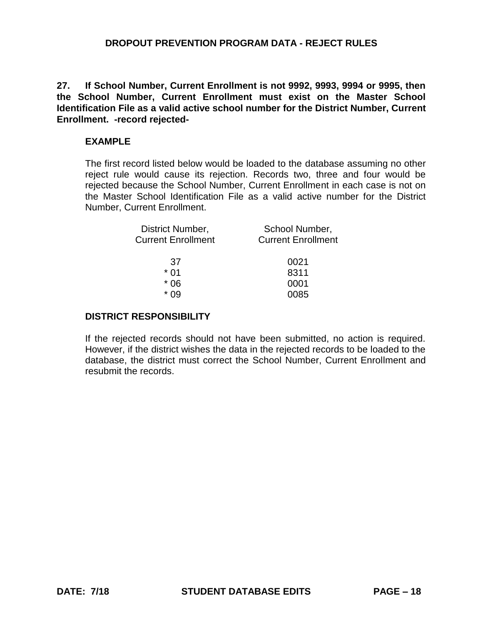**27. If School Number, Current Enrollment is not 9992, 9993, 9994 or 9995, then the School Number, Current Enrollment must exist on the Master School Identification File as a valid active school number for the District Number, Current Enrollment. -record rejected-**

#### **EXAMPLE**

The first record listed below would be loaded to the database assuming no other reject rule would cause its rejection. Records two, three and four would be rejected because the School Number, Current Enrollment in each case is not on the Master School Identification File as a valid active number for the District Number, Current Enrollment.

| District Number,          | School Number,               |
|---------------------------|------------------------------|
| <b>Current Enrollment</b> | <b>Current Enrollment</b>    |
| 37<br>* በ1<br>* በ6        | 0021<br>8311<br>0001<br>0085 |

### **DISTRICT RESPONSIBILITY**

If the rejected records should not have been submitted, no action is required. However, if the district wishes the data in the rejected records to be loaded to the database, the district must correct the School Number, Current Enrollment and resubmit the records.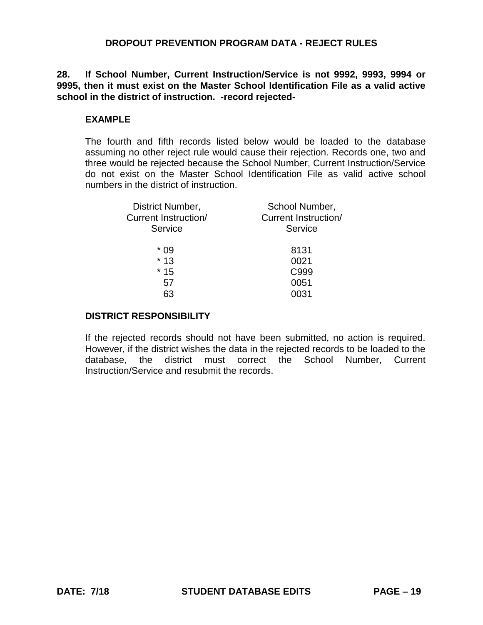**28. If School Number, Current Instruction/Service is not 9992, 9993, 9994 or 9995, then it must exist on the Master School Identification File as a valid active school in the district of instruction. -record rejected-**

### **EXAMPLE**

The fourth and fifth records listed below would be loaded to the database assuming no other reject rule would cause their rejection. Records one, two and three would be rejected because the School Number, Current Instruction/Service do not exist on the Master School Identification File as valid active school numbers in the district of instruction.

| District Number,     | School Number,              |
|----------------------|-----------------------------|
| Current Instruction/ | <b>Current Instruction/</b> |
| Service              | Service                     |
| * 09                 | 8131                        |
| $*13$                | 0021                        |
| $*15$                | C999                        |
| 57                   | 0051                        |
| 63                   | 0031                        |
|                      |                             |

## **DISTRICT RESPONSIBILITY**

If the rejected records should not have been submitted, no action is required. However, if the district wishes the data in the rejected records to be loaded to the database, the district must correct the School Number, Current Instruction/Service and resubmit the records.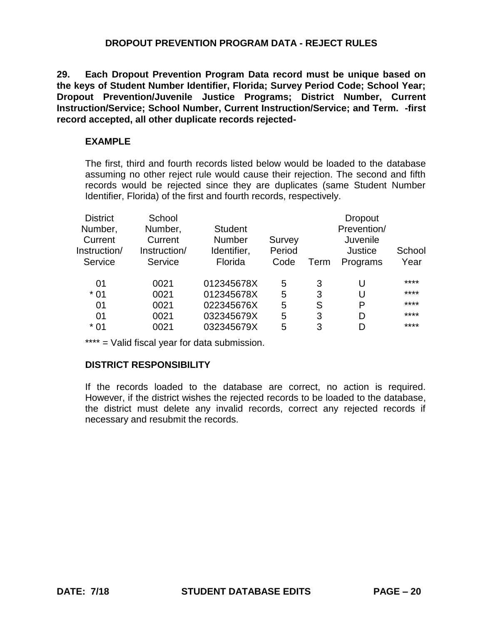**29. Each Dropout Prevention Program Data record must be unique based on the keys of Student Number Identifier, Florida; Survey Period Code; School Year; Dropout Prevention/Juvenile Justice Programs; District Number, Current Instruction/Service; School Number, Current Instruction/Service; and Term. -first record accepted, all other duplicate records rejected-**

# **EXAMPLE**

The first, third and fourth records listed below would be loaded to the database assuming no other reject rule would cause their rejection. The second and fifth records would be rejected since they are duplicates (same Student Number Identifier, Florida) of the first and fourth records, respectively.

| School       |                |                          |        | Dropout     |        |
|--------------|----------------|--------------------------|--------|-------------|--------|
| Number,      | <b>Student</b> |                          |        | Prevention/ |        |
| Current      | <b>Number</b>  | Survey                   |        | Juvenile    |        |
| Instruction/ | Identifier,    | Period                   |        | Justice     | School |
| Service      | Florida        | Code                     | Term   | Programs    | Year   |
|              |                |                          |        |             | ****   |
|              |                |                          |        |             |        |
|              |                |                          |        | U           | ****   |
| 0021         | 022345676X     | 5                        | S      | P           | ****   |
| 0021         | 032345679X     | 5                        | 3      | D           | ****   |
| 0021         | 032345679X     | 5                        | 3      |             | ****   |
|              | 0021<br>0021   | 012345678X<br>012345678X | 5<br>5 | 3<br>3      | U      |

\*\*\*\* = Valid fiscal year for data submission.

# **DISTRICT RESPONSIBILITY**

If the records loaded to the database are correct, no action is required. However, if the district wishes the rejected records to be loaded to the database, the district must delete any invalid records, correct any rejected records if necessary and resubmit the records.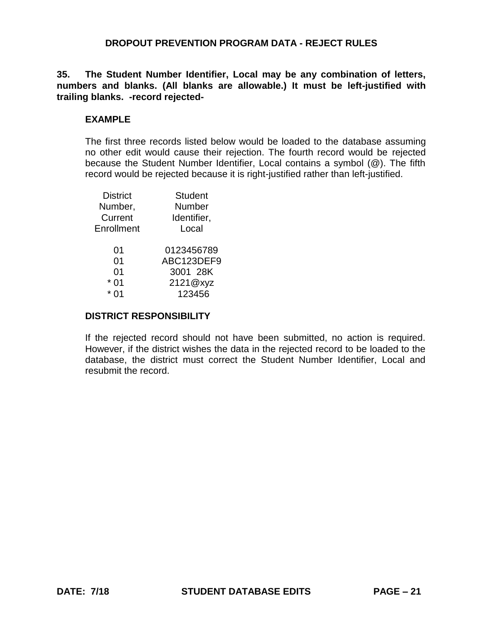**35. The Student Number Identifier, Local may be any combination of letters, numbers and blanks. (All blanks are allowable.) It must be left-justified with trailing blanks. -record rejected-**

#### **EXAMPLE**

The first three records listed below would be loaded to the database assuming no other edit would cause their rejection. The fourth record would be rejected because the Student Number Identifier, Local contains a symbol (@). The fifth record would be rejected because it is right-justified rather than left-justified.

| <b>District</b> | <b>Student</b> |  |  |
|-----------------|----------------|--|--|
| Number,         | Number         |  |  |
| Current         | Identifier,    |  |  |
| Enrollment      | Local          |  |  |
|                 |                |  |  |
| 01              | 0123456789     |  |  |
| 01              | ABC123DEF9     |  |  |
| 01              | 3001 28K       |  |  |
| 01              | 2121@xyz       |  |  |
|                 | 123456         |  |  |
|                 |                |  |  |

#### **DISTRICT RESPONSIBILITY**

If the rejected record should not have been submitted, no action is required. However, if the district wishes the data in the rejected record to be loaded to the database, the district must correct the Student Number Identifier, Local and resubmit the record.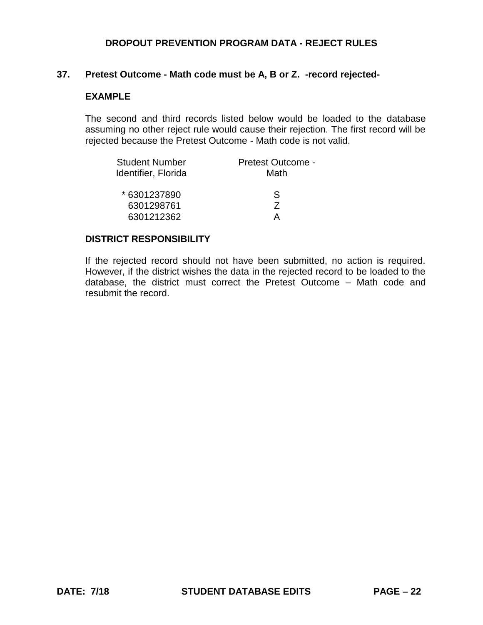#### **37. Pretest Outcome - Math code must be A, B or Z. -record rejected-**

## **EXAMPLE**

The second and third records listed below would be loaded to the database assuming no other reject rule would cause their rejection. The first record will be rejected because the Pretest Outcome - Math code is not valid.

| <b>Student Number</b> | Pretest Outcome - |
|-----------------------|-------------------|
| Identifier, Florida   | Math              |
| *6301237890           | S                 |
| 6301298761            | 7                 |
| 6301212362            | Д                 |

#### **DISTRICT RESPONSIBILITY**

If the rejected record should not have been submitted, no action is required. However, if the district wishes the data in the rejected record to be loaded to the database, the district must correct the Pretest Outcome – Math code and resubmit the record.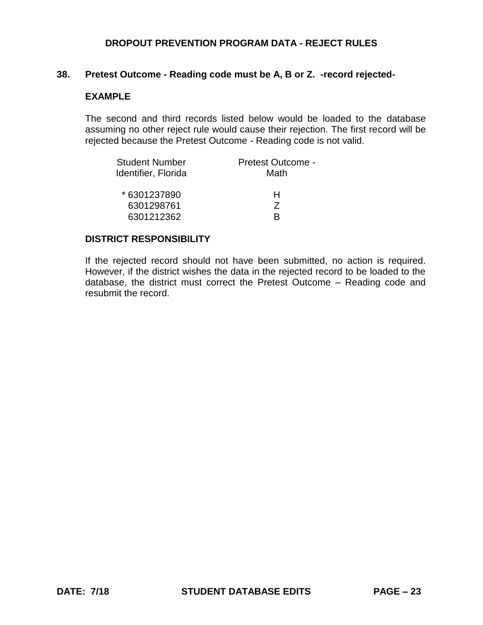#### **38. Pretest Outcome - Reading code must be A, B or Z. -record rejected-**

## **EXAMPLE**

The second and third records listed below would be loaded to the database assuming no other reject rule would cause their rejection. The first record will be rejected because the Pretest Outcome - Reading code is not valid.

| <b>Student Number</b> | Pretest Outcome - |
|-----------------------|-------------------|
| Identifier, Florida   | Math              |
| *6301237890           | н                 |
| 6301298761            | 7                 |
| 6301212362            | R                 |

#### **DISTRICT RESPONSIBILITY**

If the rejected record should not have been submitted, no action is required. However, if the district wishes the data in the rejected record to be loaded to the database, the district must correct the Pretest Outcome – Reading code and resubmit the record.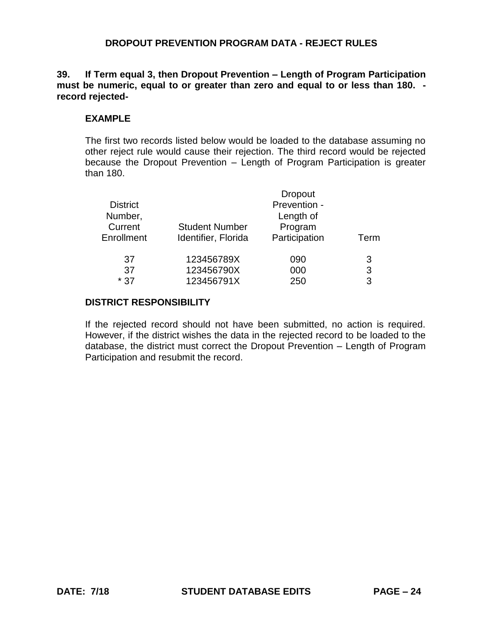**39. If Term equal 3, then Dropout Prevention – Length of Program Participation must be numeric, equal to or greater than zero and equal to or less than 180. record rejected-**

# **EXAMPLE**

The first two records listed below would be loaded to the database assuming no other reject rule would cause their rejection. The third record would be rejected because the Dropout Prevention – Length of Program Participation is greater than 180.

| <b>District</b><br>Number, |                       | <b>Dropout</b><br>Prevention -<br>Length of |      |
|----------------------------|-----------------------|---------------------------------------------|------|
| Current                    | <b>Student Number</b> | Program                                     | Term |
| Enrollment                 | Identifier, Florida   | Participation                               |      |
| 37                         | 123456789X            | 090                                         | 3    |
| 37                         | 123456790X            | 000                                         | 3    |
| $*37$                      | 123456791X            | 250                                         | 3    |

# **DISTRICT RESPONSIBILITY**

If the rejected record should not have been submitted, no action is required. However, if the district wishes the data in the rejected record to be loaded to the database, the district must correct the Dropout Prevention – Length of Program Participation and resubmit the record.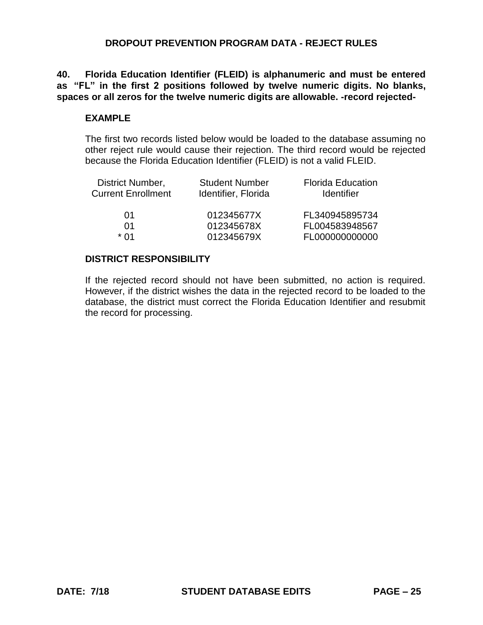**40. Florida Education Identifier (FLEID) is alphanumeric and must be entered as "FL" in the first 2 positions followed by twelve numeric digits. No blanks, spaces or all zeros for the twelve numeric digits are allowable. -record rejected-**

#### **EXAMPLE**

The first two records listed below would be loaded to the database assuming no other reject rule would cause their rejection. The third record would be rejected because the Florida Education Identifier (FLEID) is not a valid FLEID.

| <b>Student Number</b><br>Identifier, Florida | <b>Florida Education</b><br><b>Identifier</b> |
|----------------------------------------------|-----------------------------------------------|
| 012345677X                                   | FL340945895734                                |
| 012345678X                                   | FL004583948567                                |
| 012345679X                                   | FL000000000000                                |
|                                              |                                               |

#### **DISTRICT RESPONSIBILITY**

If the rejected record should not have been submitted, no action is required. However, if the district wishes the data in the rejected record to be loaded to the database, the district must correct the Florida Education Identifier and resubmit the record for processing.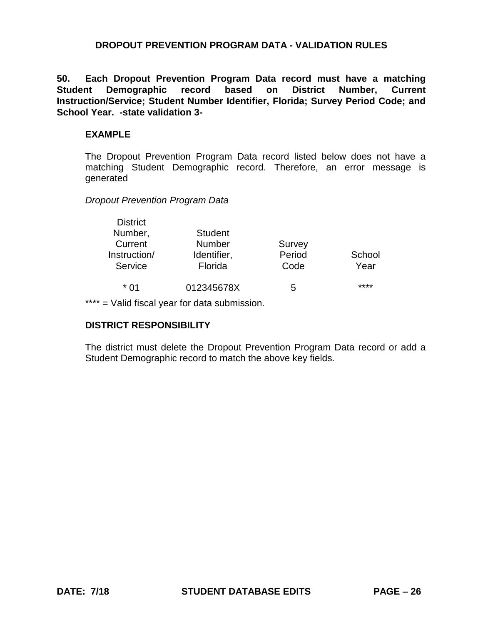### **DROPOUT PREVENTION PROGRAM DATA - VALIDATION RULES**

**50. Each Dropout Prevention Program Data record must have a matching Student Demographic record based on District Number, Current Instruction/Service; Student Number Identifier, Florida; Survey Period Code; and School Year. -state validation 3-**

#### **EXAMPLE**

The Dropout Prevention Program Data record listed below does not have a matching Student Demographic record. Therefore, an error message is generated

*Dropout Prevention Program Data*

| <b>District</b><br>Number,<br>Current<br>Instruction/<br>Service | <b>Student</b><br><b>Number</b><br>Identifier,<br>Florida | Survey<br>Period<br>Code | School<br>Year |
|------------------------------------------------------------------|-----------------------------------------------------------|--------------------------|----------------|
| * በ1                                                             | 012345678X                                                | 5                        | ****           |

\*\*\*\* = Valid fiscal year for data submission.

## **DISTRICT RESPONSIBILITY**

The district must delete the Dropout Prevention Program Data record or add a Student Demographic record to match the above key fields.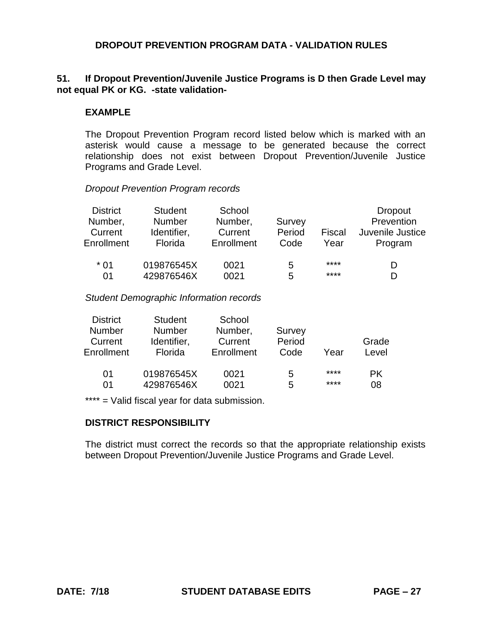# **DROPOUT PREVENTION PROGRAM DATA - VALIDATION RULES**

# **51. If Dropout Prevention/Juvenile Justice Programs is D then Grade Level may not equal PK or KG. -state validation-**

### **EXAMPLE**

The Dropout Prevention Program record listed below which is marked with an asterisk would cause a message to be generated because the correct relationship does not exist between Dropout Prevention/Juvenile Justice Programs and Grade Level.

#### *Dropout Prevention Program records*

| <b>District</b> | <b>Student</b> | School     |        |        | <b>Dropout</b>   |
|-----------------|----------------|------------|--------|--------|------------------|
| Number,         | <b>Number</b>  | Number,    | Survey |        | Prevention       |
| Current         | Identifier,    | Current    | Period | Fiscal | Juvenile Justice |
| Enrollment      | Florida        | Enrollment | Code   | Year   | Program          |
| $*01$           | 019876545X     | 0021       | 5      | ****   | D                |
| 01              | 429876546X     | 0021       | 5      | ****   | D                |

#### *Student Demographic Information records*

| <b>District</b> | <b>Student</b> | School     |        |      |       |
|-----------------|----------------|------------|--------|------|-------|
| <b>Number</b>   | <b>Number</b>  | Number,    | Survey |      |       |
| Current         | Identifier,    | Current    | Period |      | Grade |
| Enrollment      | Florida        | Enrollment | Code   | Year | Level |
|                 |                |            |        |      |       |
| 01              | 019876545X     | 0021       | 5      | **** | PK.   |
| 01              | 429876546X     | 0021       | 5      | **** | 08    |

\*\*\*\* = Valid fiscal year for data submission.

## **DISTRICT RESPONSIBILITY**

The district must correct the records so that the appropriate relationship exists between Dropout Prevention/Juvenile Justice Programs and Grade Level.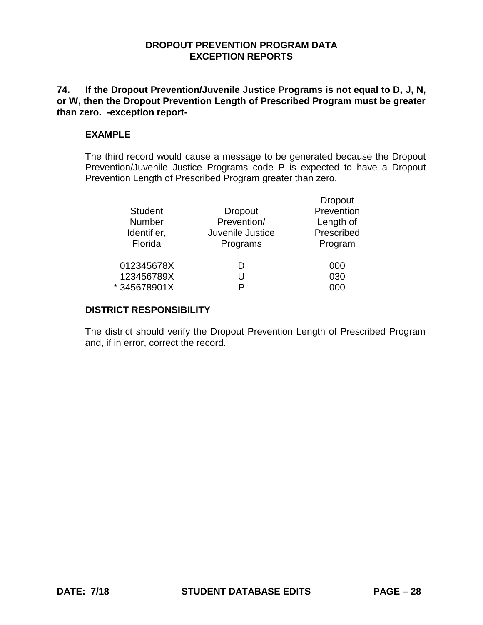## **DROPOUT PREVENTION PROGRAM DATA EXCEPTION REPORTS**

**74. If the Dropout Prevention/Juvenile Justice Programs is not equal to D, J, N, or W, then the Dropout Prevention Length of Prescribed Program must be greater than zero. -exception report-**

#### **EXAMPLE**

The third record would cause a message to be generated because the Dropout Prevention/Juvenile Justice Programs code P is expected to have a Dropout Prevention Length of Prescribed Program greater than zero.

| <b>Student</b><br>Dropout       | Prevention<br>Length of |
|---------------------------------|-------------------------|
|                                 |                         |
| Prevention/<br><b>Number</b>    |                         |
| Juvenile Justice<br>Identifier, | Prescribed              |
| Florida<br>Programs             | Program                 |
| 012345678X<br>D                 | 000                     |
| 123456789X<br>U                 | 030                     |
| *345678901X<br>D                |                         |

# **DISTRICT RESPONSIBILITY**

The district should verify the Dropout Prevention Length of Prescribed Program and, if in error, correct the record.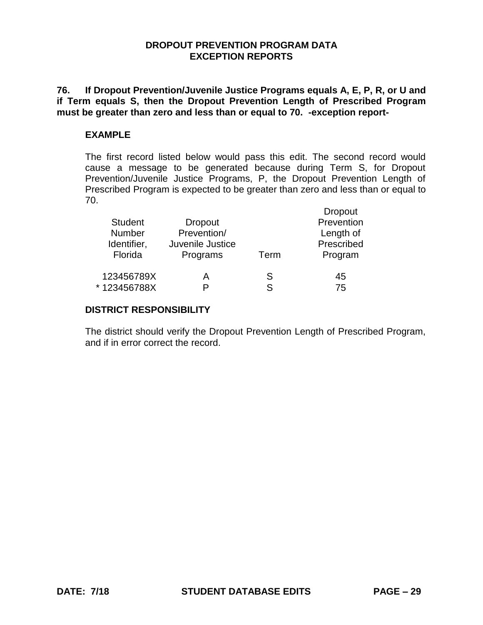#### **DROPOUT PREVENTION PROGRAM DATA EXCEPTION REPORTS**

**76. If Dropout Prevention/Juvenile Justice Programs equals A, E, P, R, or U and if Term equals S, then the Dropout Prevention Length of Prescribed Program must be greater than zero and less than or equal to 70. -exception report-**

#### **EXAMPLE**

The first record listed below would pass this edit. The second record would cause a message to be generated because during Term S, for Dropout Prevention/Juvenile Justice Programs, P, the Dropout Prevention Length of Prescribed Program is expected to be greater than zero and less than or equal to 70.

|                |                  |      | <b>Dropout</b> |
|----------------|------------------|------|----------------|
| <b>Student</b> | <b>Dropout</b>   |      | Prevention     |
| <b>Number</b>  | Prevention/      |      | Length of      |
| Identifier,    | Juvenile Justice |      | Prescribed     |
| Florida        | Programs         | Term | Program        |
| 123456789X     | А                | S    | 45             |
| * 123456788X   | P                | S    | 75             |

### **DISTRICT RESPONSIBILITY**

The district should verify the Dropout Prevention Length of Prescribed Program, and if in error correct the record.